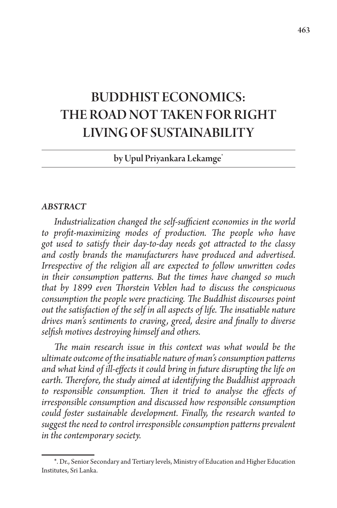# BUDDHIST ECONOMICS: THE ROAD NOT TAKEN FOR RIGHT LIVING OF SUSTAINABILITY

by Upul Priyankara Lekamge\*

#### *ABSTRACT*

*Industrialization changed the self-sufficient economies in the world to profit-maximizing modes of production. The people who have got used to satisfy their day-to-day needs got attracted to the classy and costly brands the manufacturers have produced and advertised. Irrespective of the religion all are expected to follow unwritten codes in their consumption patterns. But the times have changed so much that by 1899 even Thorstein Veblen had to discuss the conspicuous consumption the people were practicing. The Buddhist discourses point out the satisfaction of the self in all aspects of life. The insatiable nature drives man's sentiments to craving, greed, desire and finally to diverse selfish motives destroying himself and others.* 

*The main research issue in this context was what would be the ultimate outcome of the insatiable nature of man's consumption patterns and what kind of ill-effects it could bring in future disrupting the life on earth. Therefore, the study aimed at identifying the Buddhist approach to responsible consumption. Then it tried to analyse the effects of irresponsible consumption and discussed how responsible consumption could foster sustainable development. Finally, the research wanted to suggest the need to control irresponsible consumption patterns prevalent in the contemporary society.* 

<sup>\*.</sup> Dr., Senior Secondary and Tertiary levels, Ministry of Education and Higher Education Institutes, Sri Lanka.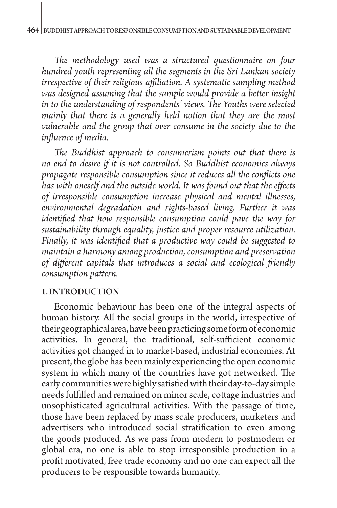*The methodology used was a structured questionnaire on four hundred youth representing all the segments in the Sri Lankan society irrespective of their religious affiliation. A systematic sampling method was designed assuming that the sample would provide a better insight in to the understanding of respondents' views. The Youths were selected mainly that there is a generally held notion that they are the most vulnerable and the group that over consume in the society due to the influence of media.* 

*The Buddhist approach to consumerism points out that there is no end to desire if it is not controlled. So Buddhist economics always propagate responsible consumption since it reduces all the conflicts one has with oneself and the outside world. It was found out that the effects of irresponsible consumption increase physical and mental illnesses, environmental degradation and rights-based living. Further it was identified that how responsible consumption could pave the way for sustainability through equality, justice and proper resource utilization. Finally, it was identified that a productive way could be suggested to maintain a harmony among production, consumption and preservation of different capitals that introduces a social and ecological friendly consumption pattern.*

#### 1. INTRODUCTION

Economic behaviour has been one of the integral aspects of human history. All the social groups in the world, irrespective of their geographical area, have been practicing some form of economic activities. In general, the traditional, self-sufficient economic activities got changed in to market-based, industrial economies. At present, the globe has been mainly experiencing the open economic system in which many of the countries have got networked. The early communities were highly satisfied with their day-to-day simple needs fulfilled and remained on minor scale, cottage industries and unsophisticated agricultural activities. With the passage of time, those have been replaced by mass scale producers, marketers and advertisers who introduced social stratification to even among the goods produced. As we pass from modern to postmodern or global era, no one is able to stop irresponsible production in a profit motivated, free trade economy and no one can expect all the producers to be responsible towards humanity.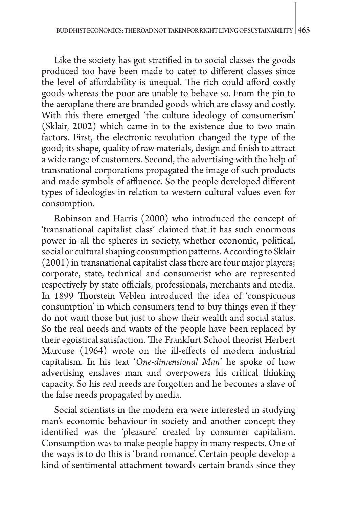Like the society has got stratified in to social classes the goods produced too have been made to cater to different classes since the level of affordability is unequal. The rich could afford costly goods whereas the poor are unable to behave so. From the pin to the aeroplane there are branded goods which are classy and costly. With this there emerged 'the culture ideology of consumerism' (Sklair, 2002) which came in to the existence due to two main factors. First, the electronic revolution changed the type of the good; its shape, quality of raw materials, design and finish to attract a wide range of customers. Second, the advertising with the help of transnational corporations propagated the image of such products and made symbols of affluence. So the people developed different types of ideologies in relation to western cultural values even for consumption.

Robinson and Harris (2000) who introduced the concept of 'transnational capitalist class' claimed that it has such enormous power in all the spheres in society, whether economic, political, social or cultural shaping consumption patterns. According to Sklair (2001) in transnational capitalist class there are four major players; corporate, state, technical and consumerist who are represented respectively by state officials, professionals, merchants and media. In 1899 Thorstein Veblen introduced the idea of 'conspicuous consumption' in which consumers tend to buy things even if they do not want those but just to show their wealth and social status. So the real needs and wants of the people have been replaced by their egoistical satisfaction. The Frankfurt School theorist Herbert Marcuse (1964) wrote on the ill-effects of modern industrial capitalism. In his text '*One-dimensional Man*' he spoke of how advertising enslaves man and overpowers his critical thinking capacity. So his real needs are forgotten and he becomes a slave of the false needs propagated by media.

Social scientists in the modern era were interested in studying man's economic behaviour in society and another concept they identified was the 'pleasure' created by consumer capitalism. Consumption was to make people happy in many respects. One of the ways is to do this is 'brand romance'. Certain people develop a kind of sentimental attachment towards certain brands since they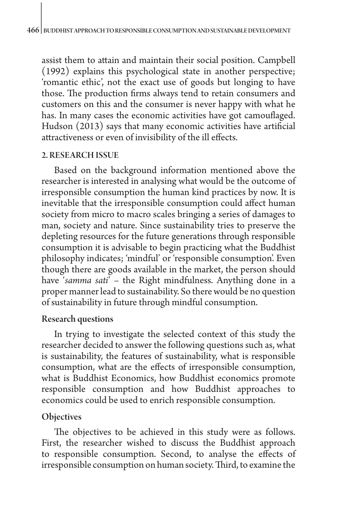assist them to attain and maintain their social position. Campbell (1992) explains this psychological state in another perspective; 'romantic ethic', not the exact use of goods but longing to have those. The production firms always tend to retain consumers and customers on this and the consumer is never happy with what he has. In many cases the economic activities have got camouflaged. Hudson (2013) says that many economic activities have artificial attractiveness or even of invisibility of the ill effects.

#### 2. RESEARCH ISSUE

Based on the background information mentioned above the researcher is interested in analysing what would be the outcome of irresponsible consumption the human kind practices by now. It is inevitable that the irresponsible consumption could affect human society from micro to macro scales bringing a series of damages to man, society and nature. Since sustainability tries to preserve the depleting resources for the future generations through responsible consumption it is advisable to begin practicing what the Buddhist philosophy indicates; 'mindful' or 'responsible consumption'. Even though there are goods available in the market, the person should have '*samma sati*' – the Right mindfulness. Anything done in a proper manner lead to sustainability. So there would be no question of sustainability in future through mindful consumption.

## Research questions

In trying to investigate the selected context of this study the researcher decided to answer the following questions such as, what is sustainability, the features of sustainability, what is responsible consumption, what are the effects of irresponsible consumption, what is Buddhist Economics, how Buddhist economics promote responsible consumption and how Buddhist approaches to economics could be used to enrich responsible consumption.

# **Objectives**

The objectives to be achieved in this study were as follows. First, the researcher wished to discuss the Buddhist approach to responsible consumption. Second, to analyse the effects of irresponsible consumption on human society. Third, to examine the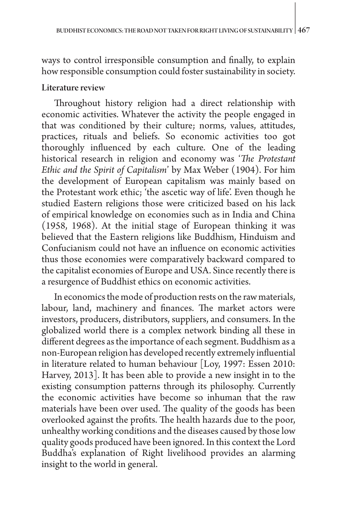ways to control irresponsible consumption and finally, to explain how responsible consumption could foster sustainability in society.

#### Literature review

Throughout history religion had a direct relationship with economic activities. Whatever the activity the people engaged in that was conditioned by their culture; norms, values, attitudes, practices, rituals and beliefs. So economic activities too got thoroughly influenced by each culture. One of the leading historical research in religion and economy was '*The Protestant Ethic and the Spirit of Capitalism*' by Max Weber (1904). For him the development of European capitalism was mainly based on the Protestant work ethic; 'the ascetic way of life'. Even though he studied Eastern religions those were criticized based on his lack of empirical knowledge on economies such as in India and China (1958, 1968). At the initial stage of European thinking it was believed that the Eastern religions like Buddhism, Hinduism and Confucianism could not have an influence on economic activities thus those economies were comparatively backward compared to the capitalist economies of Europe and USA. Since recently there is a resurgence of Buddhist ethics on economic activities.

In economics the mode of production rests on the raw materials, labour, land, machinery and finances. The market actors were investors, producers, distributors, suppliers, and consumers. In the globalized world there is a complex network binding all these in different degrees as the importance of each segment. Buddhism as a non-European religion has developed recently extremely influential in literature related to human behaviour [Loy, 1997: Essen 2010: Harvey, 2013]. It has been able to provide a new insight in to the existing consumption patterns through its philosophy. Currently the economic activities have become so inhuman that the raw materials have been over used. The quality of the goods has been overlooked against the profits. The health hazards due to the poor, unhealthy working conditions and the diseases caused by those low quality goods produced have been ignored. In this context the Lord Buddha's explanation of Right livelihood provides an alarming insight to the world in general.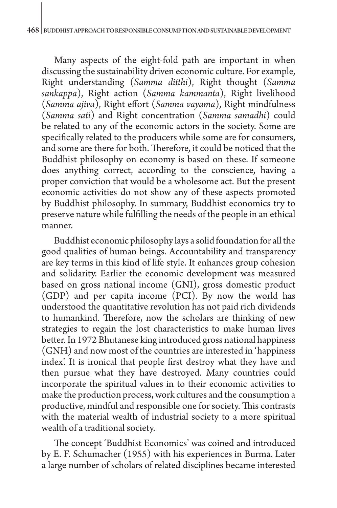Many aspects of the eight-fold path are important in when discussing the sustainability driven economic culture. For example, Right understanding (*Samma ditthi*), Right thought (*Samma sankappa*), Right action (*Samma kammanta*), Right livelihood (*Samma ajiva*), Right effort (*Samma vayama*), Right mindfulness (*Samma sati*) and Right concentration (*Samma samadhi*) could be related to any of the economic actors in the society. Some are specifically related to the producers while some are for consumers, and some are there for both. Therefore, it could be noticed that the Buddhist philosophy on economy is based on these. If someone does anything correct, according to the conscience, having a proper conviction that would be a wholesome act. But the present economic activities do not show any of these aspects promoted by Buddhist philosophy. In summary, Buddhist economics try to preserve nature while fulfilling the needs of the people in an ethical manner.

Buddhist economic philosophy lays a solid foundation for all the good qualities of human beings. Accountability and transparency are key terms in this kind of life style. It enhances group cohesion and solidarity. Earlier the economic development was measured based on gross national income (GNI), gross domestic product (GDP) and per capita income (PCI). By now the world has understood the quantitative revolution has not paid rich dividends to humankind. Therefore, now the scholars are thinking of new strategies to regain the lost characteristics to make human lives better. In 1972 Bhutanese king introduced gross national happiness (GNH) and now most of the countries are interested in 'happiness index'. It is ironical that people first destroy what they have and then pursue what they have destroyed. Many countries could incorporate the spiritual values in to their economic activities to make the production process, work cultures and the consumption a productive, mindful and responsible one for society. This contrasts with the material wealth of industrial society to a more spiritual wealth of a traditional society.

The concept 'Buddhist Economics' was coined and introduced by E. F. Schumacher (1955) with his experiences in Burma. Later a large number of scholars of related disciplines became interested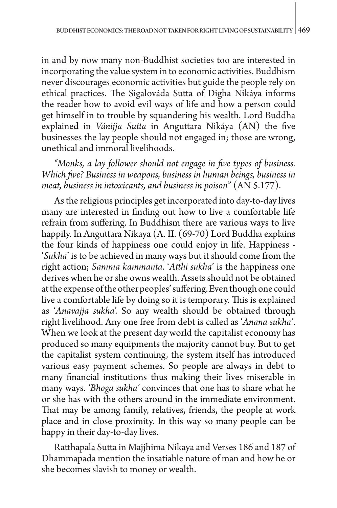in and by now many non-Buddhist societies too are interested in incorporating the value system in to economic activities. Buddhism never discourages economic activities but guide the people rely on ethical practices. The Sigalováda Sutta of Digha Nikáya informs the reader how to avoid evil ways of life and how a person could get himself in to trouble by squandering his wealth. Lord Buddha explained in *Vánijja Sutta* in Anguttara Nikáya (AN) the five businesses the lay people should not engaged in; those are wrong, unethical and immoral livelihoods.

*"Monks, a lay follower should not engage in five types of business. Which five? Business in weapons, business in human beings, business in meat, business in intoxicants, and business in poison*" (AN 5.177).

As the religious principles get incorporated into day-to-day lives many are interested in finding out how to live a comfortable life refrain from suffering. In Buddhism there are various ways to live happily. In Anguttara Nikaya (A. II. (69-70) Lord Buddha explains the four kinds of happiness one could enjoy in life. Happiness - '*Sukha*' is to be achieved in many ways but it should come from the right action; *Samma kammanta*. '*Atthi sukha*' is the happiness one derives when he or she owns wealth. Assets should not be obtained at the expense of the other peoples' suffering. Even though one could live a comfortable life by doing so it is temporary. This is explained as '*Anavajja sukha*'. So any wealth should be obtained through right livelihood. Any one free from debt is called as '*Anana sukha'*. When we look at the present day world the capitalist economy has produced so many equipments the majority cannot buy. But to get the capitalist system continuing, the system itself has introduced various easy payment schemes. So people are always in debt to many financial institutions thus making their lives miserable in many ways. *'Bhoga sukha'* convinces that one has to share what he or she has with the others around in the immediate environment. That may be among family, relatives, friends, the people at work place and in close proximity. In this way so many people can be happy in their day-to-day lives.

Ratthapala Sutta in Majjhima Nikaya and Verses 186 and 187 of Dhammapada mention the insatiable nature of man and how he or she becomes slavish to money or wealth.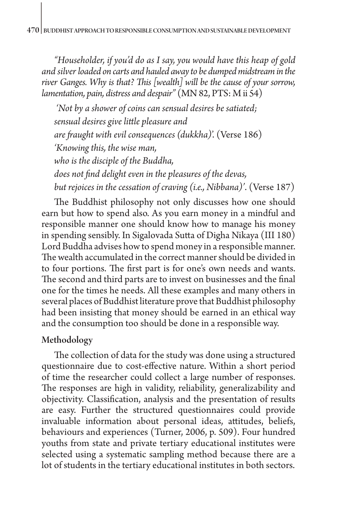*"Householder, if you'd do as I say, you would have this heap of gold and silver loaded on carts and hauled away to be dumped midstream in the river Ganges. Why is that? This [wealth] will be the cause of your sorrow, lamentation, pain, distress and despair"* (MN 82, PTS: [M ii 54](https://www.accesstoinsight.org/tipitaka/sltp/MN_II_utf8.html#pts.054))

 *'Not by a shower of coins can sensual desires be satiated; sensual desires give little pleasure and are fraught with evil consequences (dukkha)*'. (Verse 186) *'Knowing this, the wise man, who is the disciple of the Buddha, does not find delight even in the pleasures of the devas, but rejoices in the cessation of craving (i.e., Nibbana)'*. (Verse 187)

The Buddhist philosophy not only discusses how one should earn but how to spend also. As you earn money in a mindful and responsible manner one should know how to manage his money in spending sensibly. In Sigalovada Sutta of Digha Nikaya (III 180) Lord Buddha advises how to spend money in a responsible manner. The wealth accumulated in the correct manner should be divided in to four portions. The first part is for one's own needs and wants. The second and third parts are to invest on businesses and the final one for the times he needs. All these examples and many others in several places of Buddhist literature prove that Buddhist philosophy had been insisting that money should be earned in an ethical way and the consumption too should be done in a responsible way.

## Methodology

The collection of data for the study was done using a structured questionnaire due to cost-effective nature. Within a short period of time the researcher could collect a large number of responses. The responses are high in validity, reliability, generalizability and objectivity. Classification, analysis and the presentation of results are easy. Further the structured questionnaires could provide invaluable information about personal ideas, attitudes, beliefs, behaviours and experiences (Turner, 2006, p. 509). Four hundred youths from state and private tertiary educational institutes were selected using a systematic sampling method because there are a lot of students in the tertiary educational institutes in both sectors.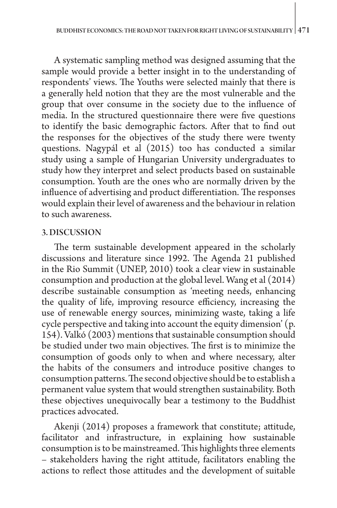A systematic sampling method was designed assuming that the sample would provide a better insight in to the understanding of respondents' views. The Youths were selected mainly that there is a generally held notion that they are the most vulnerable and the group that over consume in the society due to the influence of media. In the structured questionnaire there were five questions to identify the basic demographic factors. After that to find out the responses for the objectives of the study there were twenty questions. Nagypál et al (2015) too has conducted a similar study using a sample of Hungarian University undergraduates to study how they interpret and select products based on sustainable consumption. Youth are the ones who are normally driven by the influence of advertising and product differentiation. The responses would explain their level of awareness and the behaviour in relation to such awareness.

#### 3. DISCUSSION

The term sustainable development appeared in the scholarly discussions and literature since 1992. The Agenda 21 published in the Rio Summit (UNEP, 2010) took a clear view in sustainable consumption and production at the global level. Wang et al (2014) describe sustainable consumption as 'meeting needs, enhancing the quality of life, improving resource efficiency, increasing the use of renewable energy sources, minimizing waste, taking a life cycle perspective and taking into account the equity dimension' (p. 154). Valkó (2003) mentions that sustainable consumption should be studied under two main objectives. The first is to minimize the consumption of goods only to when and where necessary, alter the habits of the consumers and introduce positive changes to consumption patterns. The second objective should be to establish a permanent value system that would strengthen sustainability. Both these objectives unequivocally bear a testimony to the Buddhist practices advocated.

Akenji (2014) proposes a framework that constitute; attitude, facilitator and infrastructure, in explaining how sustainable consumption is to be mainstreamed. This highlights three elements – stakeholders having the right attitude, facilitators enabling the actions to reflect those attitudes and the development of suitable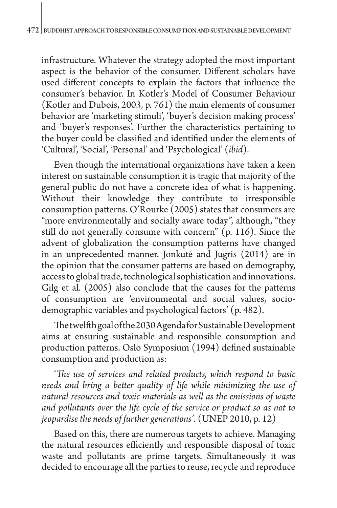infrastructure. Whatever the strategy adopted the most important aspect is the behavior of the consumer. Different scholars have used different concepts to explain the factors that influence the consumer's behavior. In Kotler's Model of Consumer Behaviour (Kotler and Dubois, 2003, p. 761) the main elements of consumer behavior are 'marketing stimuli', 'buyer's decision making process' and 'buyer's responses'. Further the characteristics pertaining to the buyer could be classified and identified under the elements of 'Cultural', 'Social', 'Personal' and 'Psychological' (*ibid*).

Even though the international organizations have taken a keen interest on sustainable consumption it is tragic that majority of the general public do not have a concrete idea of what is happening. Without their knowledge they contribute to irresponsible consumption patterns. O'Rourke (2005) states that consumers are "more environmentally and socially aware today", although, "they still do not generally consume with concern" (p. 116). Since the advent of globalization the consumption patterns have changed in an unprecedented manner. Jonkuté and Jugris (2014) are in the opinion that the consumer patterns are based on demography, access to global trade, technological sophistication and innovations. Gilg et al. (2005) also conclude that the causes for the patterns of consumption are 'environmental and social values, sociodemographic variables and psychological factors' (p. 482).

The twelfth goal of the 2030 Agenda for Sustainable Development aims at ensuring sustainable and responsible consumption and production patterns. Oslo Symposium (1994) defined sustainable consumption and production as:

'*The use of services and related products, which respond to basic needs and bring a better quality of life while minimizing the use of natural resources and toxic materials as well as the emissions of waste and pollutants over the life cycle of the service or product so as not to jeopardise the needs of further generations'*. (UNEP 2010, p. 12)

Based on this, there are numerous targets to achieve. Managing the natural resources efficiently and responsible disposal of toxic waste and pollutants are prime targets. Simultaneously it was decided to encourage all the parties to reuse, recycle and reproduce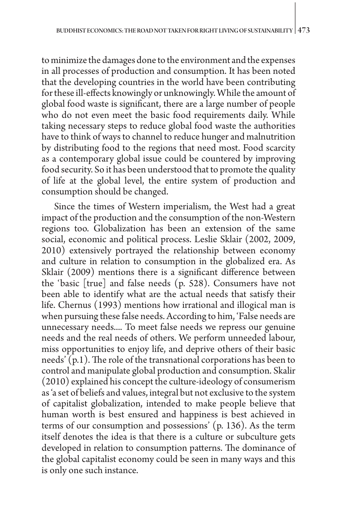to minimize the damages done to the environment and the expenses in all processes of production and consumption. It has been noted that the developing countries in the world have been contributing for these ill-effects knowingly or unknowingly. While the amount of global food waste is significant, there are a large number of people who do not even meet the basic food requirements daily. While taking necessary steps to reduce global food waste the authorities have to think of ways to channel to reduce hunger and malnutrition by distributing food to the regions that need most. Food scarcity as a contemporary global issue could be countered by improving food security. So it has been understood that to promote the quality of life at the global level, the entire system of production and consumption should be changed.

Since the times of Western imperialism, the West had a great impact of the production and the consumption of the non-Western regions too. Globalization has been an extension of the same social, economic and political process. Leslie Sklair (2002, 2009, 2010) extensively portrayed the relationship between economy and culture in relation to consumption in the globalized era. As Sklair (2009) mentions there is a significant difference between the 'basic [true] and false needs (p. 528). Consumers have not been able to identify what are the actual needs that satisfy their life. Chernus (1993) mentions how irrational and illogical man is when pursuing these false needs. According to him, 'False needs are unnecessary needs.... To meet false needs we repress our genuine needs and the real needs of others. We perform unneeded labour, miss opportunities to enjoy life, and deprive others of their basic needs'  $(p.1)$ . The role of the transnational corporations has been to control and manipulate global production and consumption. Skalir (2010) explained his concept the culture-ideology of consumerism as 'a set of beliefs and values, integral but not exclusive to the system of capitalist globalization, intended to make people believe that human worth is best ensured and happiness is best achieved in terms of our consumption and possessions' (p. 136). As the term itself denotes the idea is that there is a culture or subculture gets developed in relation to consumption patterns. The dominance of the global capitalist economy could be seen in many ways and this is only one such instance.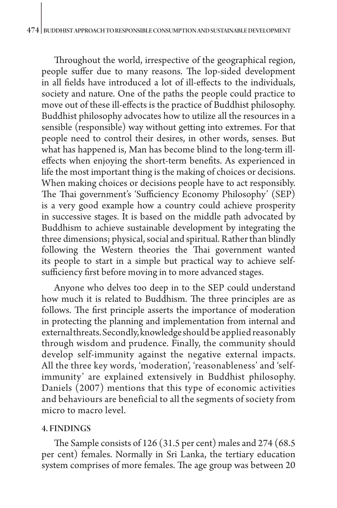Throughout the world, irrespective of the geographical region, people suffer due to many reasons. The lop-sided development in all fields have introduced a lot of ill-effects to the individuals, society and nature. One of the paths the people could practice to move out of these ill-effects is the practice of Buddhist philosophy. Buddhist philosophy advocates how to utilize all the resources in a sensible (responsible) way without getting into extremes. For that people need to control their desires, in other words, senses. But what has happened is, Man has become blind to the long-term illeffects when enjoying the short-term benefits. As experienced in life the most important thing is the making of choices or decisions. When making choices or decisions people have to act responsibly. The Thai government's 'Sufficiency Economy Philosophy' (SEP) is a very good example how a country could achieve prosperity in successive stages. It is based on the middle path advocated by Buddhism to achieve sustainable development by integrating the three dimensions; physical, social and spiritual. Rather than blindly following the Western theories the Thai government wanted its people to start in a simple but practical way to achieve selfsufficiency first before moving in to more advanced stages.

Anyone who delves too deep in to the SEP could understand how much it is related to Buddhism. The three principles are as follows. The first principle asserts the importance of moderation in protecting the planning and implementation from internal and external threats. Secondly, knowledge should be applied reasonably through wisdom and prudence. Finally, the community should develop self-immunity against the negative external impacts. All the three key words, 'moderation', 'reasonableness' and 'selfimmunity' are explained extensively in Buddhist philosophy. Daniels (2007) mentions that this type of economic activities and behaviours are beneficial to all the segments of society from micro to macro level.

#### 4. FINDINGS

The Sample consists of 126 (31.5 per cent) males and 274 (68.5 per cent) females. Normally in Sri Lanka, the tertiary education system comprises of more females. The age group was between 20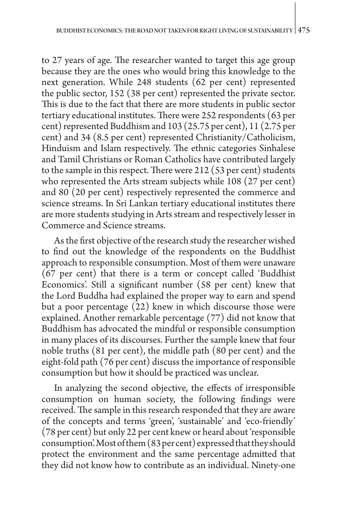to 27 years of age. The researcher wanted to target this age group because they are the ones who would bring this knowledge to the next generation. While 248 students (62 per cent) represented the public sector, 152 (38 per cent) represented the private sector. This is due to the fact that there are more students in public sector tertiary educational institutes. There were 252 respondents (63 per cent) represented Buddhism and 103 (25.75 per cent), 11 (2.75 per cent) and 34 (8.5 per cent) represented Christianity/Catholicism, Hinduism and Islam respectively. The ethnic categories Sinhalese and Tamil Christians or Roman Catholics have contributed largely to the sample in this respect. There were 212 (53 per cent) students who represented the Arts stream subjects while 108 (27 per cent) and 80 (20 per cent) respectively represented the commerce and science streams. In Sri Lankan tertiary educational institutes there are more students studying in Arts stream and respectively lesser in Commerce and Science streams.

As the first objective of the research study the researcher wished to find out the knowledge of the respondents on the Buddhist approach to responsible consumption. Most of them were unaware (67 per cent) that there is a term or concept called 'Buddhist Economics'. Still a significant number (58 per cent) knew that the Lord Buddha had explained the proper way to earn and spend but a poor percentage (22) knew in which discourse those were explained. Another remarkable percentage (77) did not know that Buddhism has advocated the mindful or responsible consumption in many places of its discourses. Further the sample knew that four noble truths (81 per cent), the middle path (80 per cent) and the eight-fold path (76 per cent) discuss the importance of responsible consumption but how it should be practiced was unclear.

In analyzing the second objective, the effects of irresponsible consumption on human society, the following findings were received. The sample in this research responded that they are aware of the concepts and terms 'green', 'sustainable' and 'eco-friendly' (78 per cent) but only 22 per cent knew or heard about 'responsible consumption'. Most of them (83 per cent) expressed that they should protect the environment and the same percentage admitted that they did not know how to contribute as an individual. Ninety-one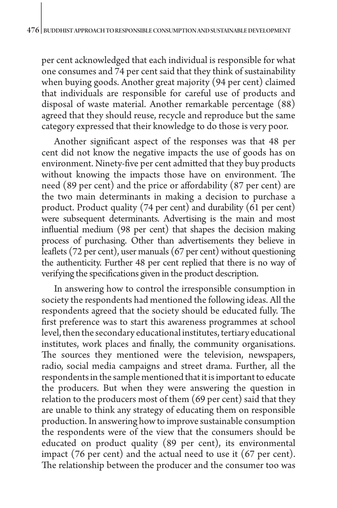per cent acknowledged that each individual is responsible for what one consumes and 74 per cent said that they think of sustainability when buying goods. Another great majority (94 per cent) claimed that individuals are responsible for careful use of products and disposal of waste material. Another remarkable percentage (88) agreed that they should reuse, recycle and reproduce but the same category expressed that their knowledge to do those is very poor.

Another significant aspect of the responses was that 48 per cent did not know the negative impacts the use of goods has on environment. Ninety-five per cent admitted that they buy products without knowing the impacts those have on environment. The need (89 per cent) and the price or affordability (87 per cent) are the two main determinants in making a decision to purchase a product. Product quality (74 per cent) and durability (61 per cent) were subsequent determinants. Advertising is the main and most influential medium (98 per cent) that shapes the decision making process of purchasing. Other than advertisements they believe in leaflets (72 per cent), user manuals (67 per cent) without questioning the authenticity. Further 48 per cent replied that there is no way of verifying the specifications given in the product description.

In answering how to control the irresponsible consumption in society the respondents had mentioned the following ideas. All the respondents agreed that the society should be educated fully. The first preference was to start this awareness programmes at school level, then the secondary educational institutes, tertiary educational institutes, work places and finally, the community organisations. The sources they mentioned were the television, newspapers, radio, social media campaigns and street drama. Further, all the respondents in the sample mentioned that it is important to educate the producers. But when they were answering the question in relation to the producers most of them (69 per cent) said that they are unable to think any strategy of educating them on responsible production. In answering how to improve sustainable consumption the respondents were of the view that the consumers should be educated on product quality (89 per cent), its environmental impact (76 per cent) and the actual need to use it (67 per cent). The relationship between the producer and the consumer too was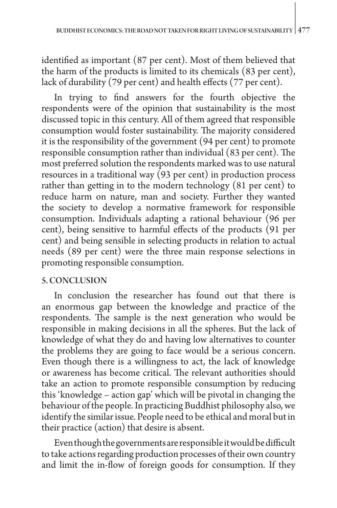identified as important (87 per cent). Most of them believed that the harm of the products is limited to its chemicals (83 per cent), lack of durability (79 per cent) and health effects (77 per cent).

In trying to find answers for the fourth objective the respondents were of the opinion that sustainability is the most discussed topic in this century. All of them agreed that responsible consumption would foster sustainability. The majority considered it is the responsibility of the government (94 per cent) to promote responsible consumption rather than individual (83 per cent). The most preferred solution the respondents marked was to use natural resources in a traditional way (93 per cent) in production process rather than getting in to the modern technology (81 per cent) to reduce harm on nature, man and society. Further they wanted the society to develop a normative framework for responsible consumption. Individuals adapting a rational behaviour (96 per cent), being sensitive to harmful effects of the products (91 per cent) and being sensible in selecting products in relation to actual needs (89 per cent) were the three main response selections in promoting responsible consumption.

## 5. CONCLUSION

In conclusion the researcher has found out that there is an enormous gap between the knowledge and practice of the respondents. The sample is the next generation who would be responsible in making decisions in all the spheres. But the lack of knowledge of what they do and having low alternatives to counter the problems they are going to face would be a serious concern. Even though there is a willingness to act, the lack of knowledge or awareness has become critical. The relevant authorities should take an action to promote responsible consumption by reducing this 'knowledge – action gap' which will be pivotal in changing the behaviour of the people. In practicing Buddhist philosophy also, we identify the similar issue. People need to be ethical and moral but in their practice (action) that desire is absent.

Even though the governments are responsible it would be difficult to take actions regarding production processes of their own country and limit the in-flow of foreign goods for consumption. If they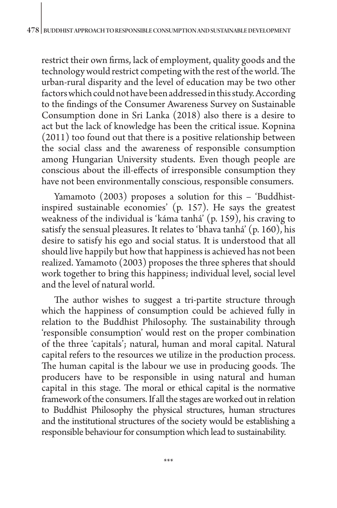restrict their own firms, lack of employment, quality goods and the technology would restrict competing with the rest of the world. The urban-rural disparity and the level of education may be two other factors which could not have been addressed in this study. According to the findings of the Consumer Awareness Survey on Sustainable Consumption done in Sri Lanka (2018) also there is a desire to act but the lack of knowledge has been the critical issue. Kopnina (2011) too found out that there is a positive relationship between the social class and the awareness of responsible consumption among Hungarian University students. Even though people are conscious about the ill-effects of irresponsible consumption they have not been environmentally conscious, responsible consumers.

Yamamoto (2003) proposes a solution for this – 'Buddhistinspired sustainable economies' (p. 157). He says the greatest weakness of the individual is 'káma tanhá' (p. 159), his craving to satisfy the sensual pleasures. It relates to 'bhava tanhá' (p. 160), his desire to satisfy his ego and social status. It is understood that all should live happily but how that happiness is achieved has not been realized. Yamamoto (2003) proposes the three spheres that should work together to bring this happiness; individual level, social level and the level of natural world.

The author wishes to suggest a tri-partite structure through which the happiness of consumption could be achieved fully in relation to the Buddhist Philosophy. The sustainability through 'responsible consumption' would rest on the proper combination of the three 'capitals'; natural, human and moral capital. Natural capital refers to the resources we utilize in the production process. The human capital is the labour we use in producing goods. The producers have to be responsible in using natural and human capital in this stage. The moral or ethical capital is the normative framework of the consumers. If all the stages are worked out in relation to Buddhist Philosophy the physical structures, human structures and the institutional structures of the society would be establishing a responsible behaviour for consumption which lead to sustainability.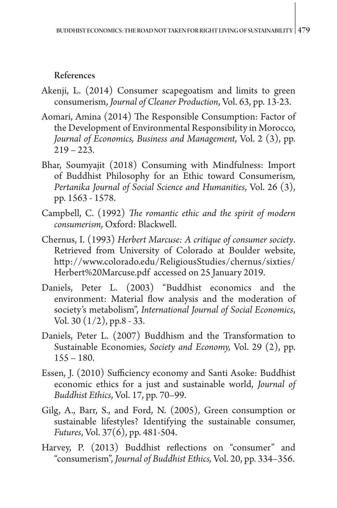# References

- Akenji, L. (2014) Consumer scapegoatism and limits to green consumerism, *Journal of Cleaner Production*, Vol. 63, pp. 13-23.
- Aomari, Amina (2014) The Responsible Consumption: Factor of the Development of Environmental Responsibility in Morocco, *Journal of Economics, Business and Management*, Vol. 2 (3), pp.  $219 - 223.$
- Bhar, Soumyajit (2018) Consuming with Mindfulness: Import of Buddhist Philosophy for an Ethic toward Consumerism*, Pertanika Journal of Social Science and Humanities*, Vol. 26 (3), pp. 1563 - 1578.
- Campbell, C. (1992) *The romantic ethic and the spirit of modern consumerism,* Oxford: Blackwell.
- Chernus, I. (1993) *Herbert Marcuse: A critique of consumer society*. Retrieved from University of Colorado at Boulder website, [http://www.colorado.edu/ReligiousStudies/chernus/sixties/](http://www.colorado.edu/ReligiousStudies/chernus/sixties/Herbert Marcuse.pdf) [Herbert%20Marcuse.pdf](http://www.colorado.edu/ReligiousStudies/chernus/sixties/Herbert Marcuse.pdf) accessed on 25 January 2019.
- Daniels, Peter L. (2003) "Buddhist economics and the environment: Material flow analysis and the moderation of society's metabolism", *International Journal of Social Economics*, Vol. 30  $(1/2)$ , pp.8 - 33.
- Daniels, Peter L. (2007) Buddhism and the Transformation to Sustainable Economies, *Society and Economy,* Vol. 29 (2), pp.  $155 - 180.$
- Essen, J. (2010) Sufficiency economy and Santi Asoke: Buddhist economic ethics for a just and sustainable world, *Journal of Buddhist Ethics*, Vol. 17, pp. 70–99.
- Gilg, A., Barr, S., and Ford, N. (2005), Green consumption or sustainable lifestyles? Identifying the sustainable consumer, *Futures*, Vol. 37(6), pp. 481-504.
- Harvey, P. (2013) Buddhist reflections on "consumer" and "consumerism", *Journal of Buddhist Ethics,* Vol. 20, pp. 334–356.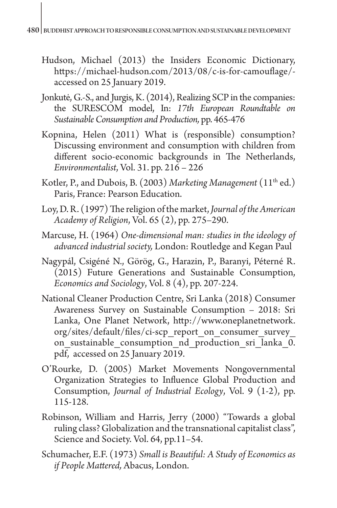- Hudson, Michael (2013) the Insiders Economic Dictionary, <https://michael-hudson.com/2013/08/c-is-for-camouflage/> accessed on 25 January 2019.
- Jonkutė, G.-S., and Jurgis, K. (2014), Realizing SCP in the companies: the SURESCOM model, In: *17th European Roundtable on Sustainable Consumption and Production,* pp. 465-476
- Kopnina, Helen (2011) What is (responsible) consumption? Discussing environment and consumption with children from different socio-economic backgrounds in The Netherlands, *Environmentalist*, Vol. 31. pp. 216 – 226
- Kotler, P., and Dubois, B. (2003) *Marketing Management* (11th ed.) Paris, France: Pearson Education.
- Loy, D. R. (1997) The religion of the market, *Journal of the American Academy of Religion*, Vol. 65 (2), pp. 275–290.
- Marcuse, H. (1964) *One-dimensional man: studies in the ideology of advanced industrial society,* London: Routledge and Kegan Paul
- Nagypál, Csigéné N., Görög, G., Harazin, P., Baranyi, Péterné R. (2015) Future Generations and Sustainable Consumption, *Economics and Sociology*, Vol. 8 (4), pp. 207-224.
- National Cleaner Production Centre, Sri Lanka (2018) Consumer Awareness Survey on Sustainable Consumption – 2018: Sri Lanka, One Planet Network, [http://www.oneplanetnetwork.](http://www.oneplanetnetwork.org/sites/default/files/ci-scp_report_on_consumer_survey_on_sustainable_consumption_nd_production_sri_lanka_0.pdf) [org/sites/default/files/ci-scp\\_report\\_on\\_consumer\\_survey\\_](http://www.oneplanetnetwork.org/sites/default/files/ci-scp_report_on_consumer_survey_on_sustainable_consumption_nd_production_sri_lanka_0.pdf) on sustainable consumption nd production sri lanka 0. [pdf](http://www.oneplanetnetwork.org/sites/default/files/ci-scp_report_on_consumer_survey_on_sustainable_consumption_nd_production_sri_lanka_0.pdf), accessed on 25 January 2019.
- O'Rourke, D. (2005) Market Movements Nongovernmental Organization Strategies to Influence Global Production and Consumption, *Journal of Industrial Ecology*, Vol. 9 (1-2), pp. 115-128.
- Robinson, William and Harris, Jerry (2000) "Towards a global ruling class? Globalization and the transnational capitalist class", Science and Society. Vol. 64, pp.11–54.
- Schumacher, E.F. (1973) *Small is Beautiful: A Study of Economics as if People Mattered,* Abacus, London.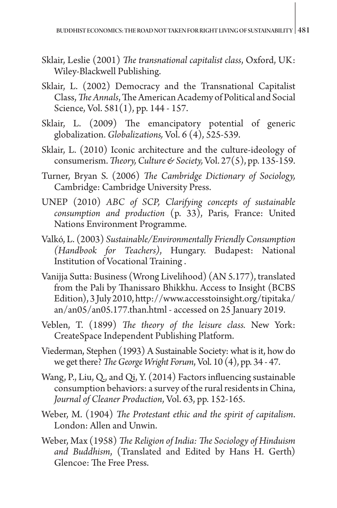- Sklair, Leslie (2001) *The transnational capitalist class*, Oxford, UK: Wiley-Blackwell Publishing.
- Sklair, L. (2002) Democracy and the Transnational Capitalist Class, *The Annals*, The American Academy of Political and Social Science, Vol. 581(1), pp. 144 - 157.
- Sklair, L. (2009) The emancipatory potential of generic globalization. *Globalizations,* Vol. 6 (4), 525-539.
- Sklair, L. (2010) Iconic architecture and the culture-ideology of consumerism. *Theory, Culture & Society,* Vol. 27(5), pp. 135-159.
- Turner, Bryan S. (2006) *The Cambridge Dictionary of Sociology,*  Cambridge: Cambridge University Press.
- UNEP (2010) *ABC of SCP, Clarifying concepts of sustainable consumption and production* (p. 33), Paris, France: United Nations Environment Programme.
- Valkó, L. (2003) *Sustainable/Environmentally Friendly Consumption (Handbook for Teachers)*, Hungary. Budapest: National Institution of Vocational Training .
- Vanijja Sutta: Business (Wrong Livelihood) (AN 5.177), translated from the Pali by Thanissaro Bhikkhu. Access to Insight (BCBS Edition), 3 July 2010, [http://www.accesstoinsight.org/tipitaka/](http://www.accesstoinsight.org/tipitaka/an/an05/an05.177.than.html) [an/an05/an05.177.than.html](http://www.accesstoinsight.org/tipitaka/an/an05/an05.177.than.html) - accessed on 25 January 2019.
- Veblen, T. (1899) *The theory of the leisure class.* New York: CreateSpace Independent Publishing Platform.
- Viederman, Stephen (1993) A Sustainable Society: what is it, how do we get there? *The George Wright Forum*, Vol. 10 (4), pp. 34 - 47.
- Wang, P., Liu, Q., and Qi, Y. (2014) Factors influencing sustainable consumption behaviors: a survey of the rural residents in China, *Journal of Cleaner Production*, Vol. 63, pp. 152-165.
- Weber, M. (1904) *The Protestant ethic and the spirit of capitalism*. London: Allen and Unwin.
- Weber, Max (1958) *The Religion of India: The Sociology of Hinduism and Buddhism*, (Translated and Edited by Hans H. Gerth) Glencoe: The Free Press.